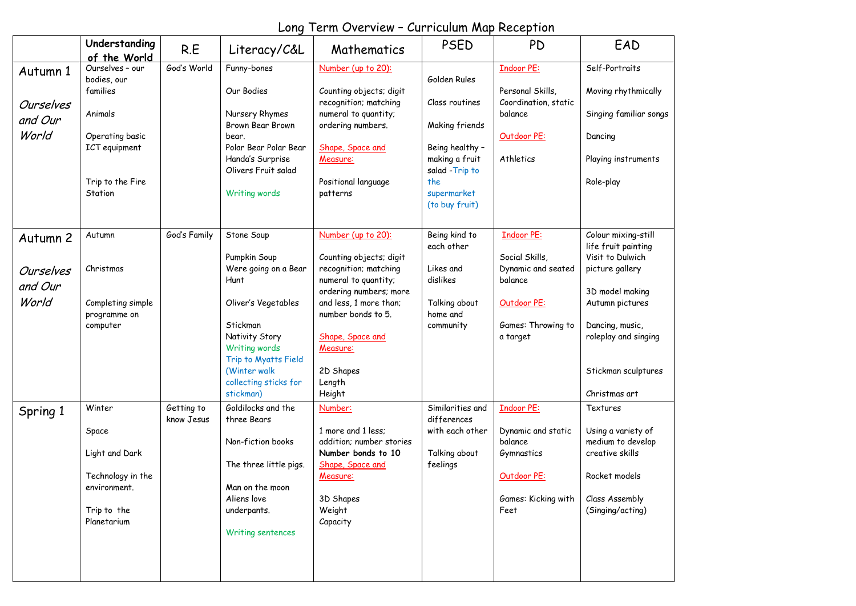|                  | Understanding<br>of the World           | R.E          | Literacy/C&L                                                        | Mathematics                                      | <b>PSED</b>                          | <b>PD</b>                                | EAD                                        |
|------------------|-----------------------------------------|--------------|---------------------------------------------------------------------|--------------------------------------------------|--------------------------------------|------------------------------------------|--------------------------------------------|
| Autumn 1         | Ourselves - our<br>bodies, our          | God's World  | Funny-bones                                                         | Number (up to 20):                               | Golden Rules                         | <b>Indoor PE:</b>                        | Self-Portraits                             |
| Ourselves        | families                                |              | Our Bodies                                                          | Counting objects; digit<br>recognition; matching | Class routines                       | Personal Skills,<br>Coordination, static | Moving rhythmically                        |
| and Our          | Animals                                 |              | Nursery Rhymes<br>Brown Bear Brown                                  | numeral to quantity;<br>ordering numbers.        | Making friends                       | balance                                  | Singing familiar songs                     |
| World            | Operating basic<br><b>ICT</b> equipment |              | bear.<br>Polar Bear Polar Bear                                      | Shape, Space and                                 | Being healthy -                      | Outdoor PE:                              | Dancing                                    |
|                  |                                         |              | Handa's Surprise<br>Olivers Fruit salad                             | Measure:                                         | making a fruit<br>salad - Trip to    | Athletics                                | Playing instruments                        |
|                  | Trip to the Fire<br>Station             |              | Writing words                                                       | Positional language<br>patterns                  | the<br>supermarket<br>(to buy fruit) |                                          | Role-play                                  |
| Autumn 2         | Autumn                                  | God's Family | Stone Soup                                                          | Number (up to 20):                               | Being kind to<br>each other          | <b>Indoor PE:</b>                        | Colour mixing-still<br>life fruit painting |
| <b>Ourselves</b> | Christmas                               |              | Pumpkin Soup<br>Were going on a Bear                                | Counting objects; digit<br>recognition; matching | Likes and                            | Social Skills,<br>Dynamic and seated     | Visit to Dulwich<br>picture gallery        |
| and Our          |                                         |              | Hunt                                                                | numeral to quantity;<br>ordering numbers; more   | dislikes                             | balance                                  | 3D model making                            |
| World            | Completing simple<br>programme on       |              | Oliver's Vegetables                                                 | and less, 1 more than;<br>number bonds to 5.     | Talking about<br>home and            | Outdoor PE:                              | Autumn pictures                            |
|                  | computer                                |              | Stickman<br>Nativity Story<br>Writing words<br>Trip to Myatts Field | Shape, Space and<br>Measure:                     | community                            | Games: Throwing to<br>a target           | Dancing, music,<br>roleplay and singing    |
|                  |                                         |              | (Winter walk<br>collecting sticks for                               | 2D Shapes<br>Length                              |                                      |                                          | Stickman sculptures                        |
|                  | Winter                                  | Getting to   | stickman)<br>Goldilocks and the                                     | Height<br>Number:                                | Similarities and                     | <b>Indoor PE:</b>                        | Christmas art<br>Textures                  |
| Spring 1         | Space                                   | know Jesus   | three Bears<br>Non-fiction books                                    | 1 more and 1 less;<br>addition: number stories   | differences<br>with each other       | Dynamic and static<br>balance            | Using a variety of<br>medium to develop    |
|                  | Light and Dark                          |              | The three little pigs.                                              | Number bonds to 10<br>Shape, Space and           | Talking about<br>feelings            | Gymnastics                               | creative skills                            |
|                  | Technology in the<br>environment.       |              | Man on the moon<br>Aliens love                                      | Measure:                                         |                                      | Outdoor PE:                              | Rocket models<br>Class Assembly            |
|                  | Trip to the<br>Planetarium              |              | underpants.<br>Writing sentences                                    | 3D Shapes<br>Weight<br>Capacity                  |                                      | Games: Kicking with<br>Feet              | (Singing/acting)                           |
|                  |                                         |              |                                                                     |                                                  |                                      |                                          |                                            |

## Long Term Overview – Curriculum Map Reception